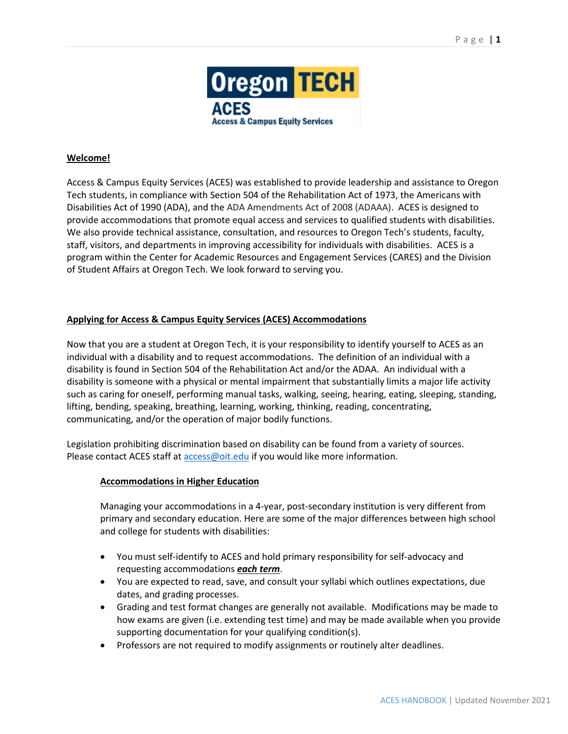

# **Welcome!**

Access & Campus Equity Services (ACES) was established to provide leadership and assistance to Oregon Tech students, in compliance with Section 504 of the Rehabilitation Act of 1973, the Americans with Disabilities Act of 1990 (ADA), and the ADA Amendments Act of 2008 (ADAAA). ACES is designed to provide accommodations that promote equal access and services to qualified students with disabilities. We also provide technical assistance, consultation, and resources to Oregon Tech's students, faculty, staff, visitors, and departments in improving accessibility for individuals with disabilities. ACES is a program within the Center for Academic Resources and Engagement Services (CARES) and the Division of Student Affairs at Oregon Tech. We look forward to serving you.

# **Applying for Access & Campus Equity Services (ACES) Accommodations**

Now that you are a student at Oregon Tech, it is your responsibility to identify yourself to ACES as an individual with a disability and to request accommodations. The definition of an individual with a disability is found in Section 504 of the Rehabilitation Act and/or the ADAA. An individual with a disability is someone with a physical or mental impairment that substantially limits a major life activity such as caring for oneself, performing manual tasks, walking, seeing, hearing, eating, sleeping, standing, lifting, bending, speaking, breathing, learning, working, thinking, reading, concentrating, communicating, and/or the operation of major bodily functions.

Legislation prohibiting discrimination based on disability can be found from a variety of sources. Please contact ACES staff at [access@oit.edu](mailto:access@oit.edu) if you would like more information.

# **Accommodations in Higher Education**

Managing your accommodations in a 4-year, post-secondary institution is very different from primary and secondary education. Here are some of the major differences between high school and college for students with disabilities:

- You must self-identify to ACES and hold primary responsibility for self-advocacy and requesting accommodations *each term*.
- You are expected to read, save, and consult your syllabi which outlines expectations, due dates, and grading processes.
- Grading and test format changes are generally not available. Modifications may be made to how exams are given (i.e. extending test time) and may be made available when you provide supporting documentation for your qualifying condition(s).
- Professors are not required to modify assignments or routinely alter deadlines.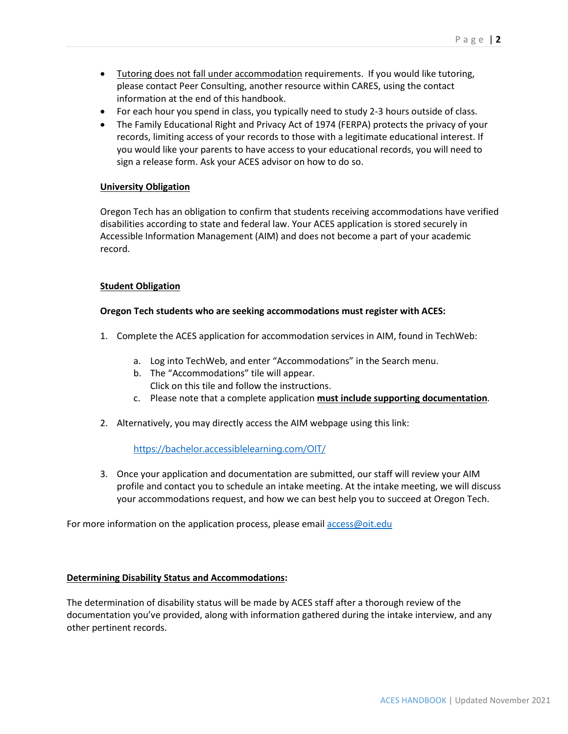- Tutoring does not fall under accommodation requirements. If you would like tutoring, please contact Peer Consulting, another resource within CARES, using the contact information at the end of this handbook.
- For each hour you spend in class, you typically need to study 2-3 hours outside of class.
- The Family Educational Right and Privacy Act of 1974 (FERPA) protects the privacy of your records, limiting access of your records to those with a legitimate educational interest. If you would like your parents to have access to your educational records, you will need to sign a release form. Ask your ACES advisor on how to do so.

# **University Obligation**

Oregon Tech has an obligation to confirm that students receiving accommodations have verified disabilities according to state and federal law. Your ACES application is stored securely in Accessible Information Management (AIM) and does not become a part of your academic record.

## **Student Obligation**

## **Oregon Tech students who are seeking accommodations must register with ACES:**

- 1. Complete the ACES application for accommodation services in AIM, found in TechWeb:
	- a. Log into TechWeb, and enter "Accommodations" in the Search menu.
	- b. The "Accommodations" tile will appear. Click on this tile and follow the instructions.
	- c. Please note that a complete application **must include supporting documentation**.
- 2. Alternatively, you may directly access the AIM webpage using this link:

<https://bachelor.accessiblelearning.com/OIT/>

3. Once your application and documentation are submitted, our staff will review your AIM profile and contact you to schedule an intake meeting. At the intake meeting, we will discuss your accommodations request, and how we can best help you to succeed at Oregon Tech.

For more information on the application process, please emai[l access@oit.edu](mailto:access@oit.edu)

## **Determining Disability Status and Accommodations:**

The determination of disability status will be made by ACES staff after a thorough review of the documentation you've provided, along with information gathered during the intake interview, and any other pertinent records.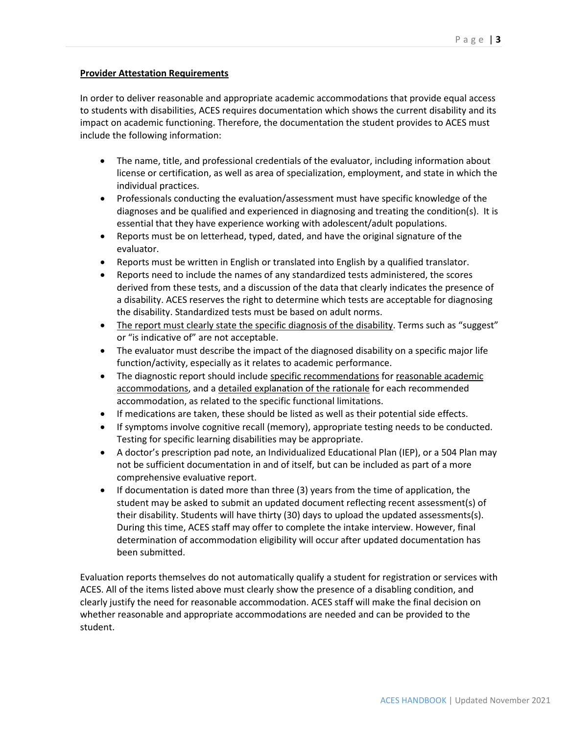## **Provider Attestation Requirements**

In order to deliver reasonable and appropriate academic accommodations that provide equal access to students with disabilities, ACES requires documentation which shows the current disability and its impact on academic functioning. Therefore, the documentation the student provides to ACES must include the following information:

- The name, title, and professional credentials of the evaluator, including information about license or certification, as well as area of specialization, employment, and state in which the individual practices.
- Professionals conducting the evaluation/assessment must have specific knowledge of the diagnoses and be qualified and experienced in diagnosing and treating the condition(s). It is essential that they have experience working with adolescent/adult populations.
- Reports must be on letterhead, typed, dated, and have the original signature of the evaluator.
- Reports must be written in English or translated into English by a qualified translator.
- Reports need to include the names of any standardized tests administered, the scores derived from these tests, and a discussion of the data that clearly indicates the presence of a disability. ACES reserves the right to determine which tests are acceptable for diagnosing the disability. Standardized tests must be based on adult norms.
- The report must clearly state the specific diagnosis of the disability. Terms such as "suggest" or "is indicative of" are not acceptable.
- The evaluator must describe the impact of the diagnosed disability on a specific major life function/activity, especially as it relates to academic performance.
- The diagnostic report should include specific recommendations for reasonable academic accommodations, and a detailed explanation of the rationale for each recommended accommodation, as related to the specific functional limitations.
- If medications are taken, these should be listed as well as their potential side effects.
- If symptoms involve cognitive recall (memory), appropriate testing needs to be conducted. Testing for specific learning disabilities may be appropriate.
- A doctor's prescription pad note, an Individualized Educational Plan (IEP), or a 504 Plan may not be sufficient documentation in and of itself, but can be included as part of a more comprehensive evaluative report.
- If documentation is dated more than three (3) years from the time of application, the student may be asked to submit an updated document reflecting recent assessment(s) of their disability. Students will have thirty (30) days to upload the updated assessments(s). During this time, ACES staff may offer to complete the intake interview. However, final determination of accommodation eligibility will occur after updated documentation has been submitted.

Evaluation reports themselves do not automatically qualify a student for registration or services with ACES. All of the items listed above must clearly show the presence of a disabling condition, and clearly justify the need for reasonable accommodation. ACES staff will make the final decision on whether reasonable and appropriate accommodations are needed and can be provided to the student.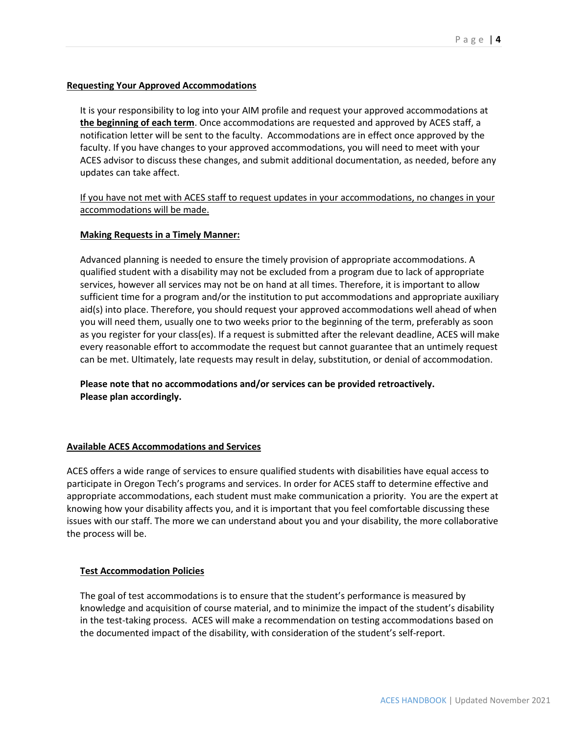## **Requesting Your Approved Accommodations**

It is your responsibility to log into your AIM profile and request your approved accommodations at **the beginning of each term**. Once accommodations are requested and approved by ACES staff, a notification letter will be sent to the faculty. Accommodations are in effect once approved by the faculty. If you have changes to your approved accommodations, you will need to meet with your ACES advisor to discuss these changes, and submit additional documentation, as needed, before any updates can take affect.

If you have not met with ACES staff to request updates in your accommodations, no changes in your accommodations will be made.

## **Making Requests in a Timely Manner:**

Advanced planning is needed to ensure the timely provision of appropriate accommodations. A qualified student with a disability may not be excluded from a program due to lack of appropriate services, however all services may not be on hand at all times. Therefore, it is important to allow sufficient time for a program and/or the institution to put accommodations and appropriate auxiliary aid(s) into place. Therefore, you should request your approved accommodations well ahead of when you will need them, usually one to two weeks prior to the beginning of the term, preferably as soon as you register for your class(es). If a request is submitted after the relevant deadline, ACES will make every reasonable effort to accommodate the request but cannot guarantee that an untimely request can be met. Ultimately, late requests may result in delay, substitution, or denial of accommodation.

**Please note that no accommodations and/or services can be provided retroactively. Please plan accordingly.**

## **Available ACES Accommodations and Services**

ACES offers a wide range of services to ensure qualified students with disabilities have equal access to participate in Oregon Tech's programs and services. In order for ACES staff to determine effective and appropriate accommodations, each student must make communication a priority. You are the expert at knowing how your disability affects you, and it is important that you feel comfortable discussing these issues with our staff. The more we can understand about you and your disability, the more collaborative the process will be.

# **Test Accommodation Policies**

The goal of test accommodations is to ensure that the student's performance is measured by knowledge and acquisition of course material, and to minimize the impact of the student's disability in the test-taking process. ACES will make a recommendation on testing accommodations based on the documented impact of the disability, with consideration of the student's self-report.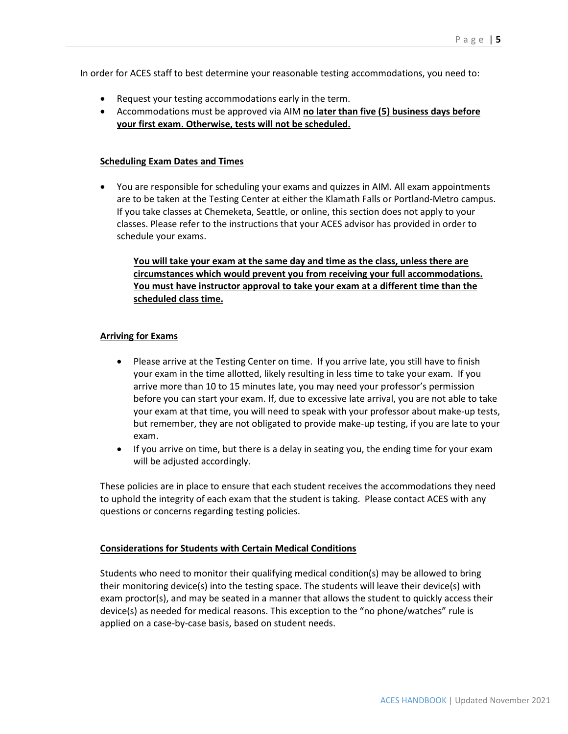In order for ACES staff to best determine your reasonable testing accommodations, you need to:

- Request your testing accommodations early in the term.
- Accommodations must be approved via AIM **no later than five (5) business days before your first exam. Otherwise, tests will not be scheduled.**

## **Scheduling Exam Dates and Times**

• You are responsible for scheduling your exams and quizzes in AIM. All exam appointments are to be taken at the Testing Center at either the Klamath Falls or Portland-Metro campus. If you take classes at Chemeketa, Seattle, or online, this section does not apply to your classes. Please refer to the instructions that your ACES advisor has provided in order to schedule your exams.

**You will take your exam at the same day and time as the class, unless there are circumstances which would prevent you from receiving your full accommodations. You must have instructor approval to take your exam at a different time than the scheduled class time.**

# **Arriving for Exams**

- Please arrive at the Testing Center on time. If you arrive late, you still have to finish your exam in the time allotted, likely resulting in less time to take your exam. If you arrive more than 10 to 15 minutes late, you may need your professor's permission before you can start your exam. If, due to excessive late arrival, you are not able to take your exam at that time, you will need to speak with your professor about make-up tests, but remember, they are not obligated to provide make-up testing, if you are late to your exam.
- If you arrive on time, but there is a delay in seating you, the ending time for your exam will be adjusted accordingly.

These policies are in place to ensure that each student receives the accommodations they need to uphold the integrity of each exam that the student is taking. Please contact ACES with any questions or concerns regarding testing policies.

## **Considerations for Students with Certain Medical Conditions**

Students who need to monitor their qualifying medical condition(s) may be allowed to bring their monitoring device(s) into the testing space. The students will leave their device(s) with exam proctor(s), and may be seated in a manner that allows the student to quickly access their device(s) as needed for medical reasons. This exception to the "no phone/watches" rule is applied on a case-by-case basis, based on student needs.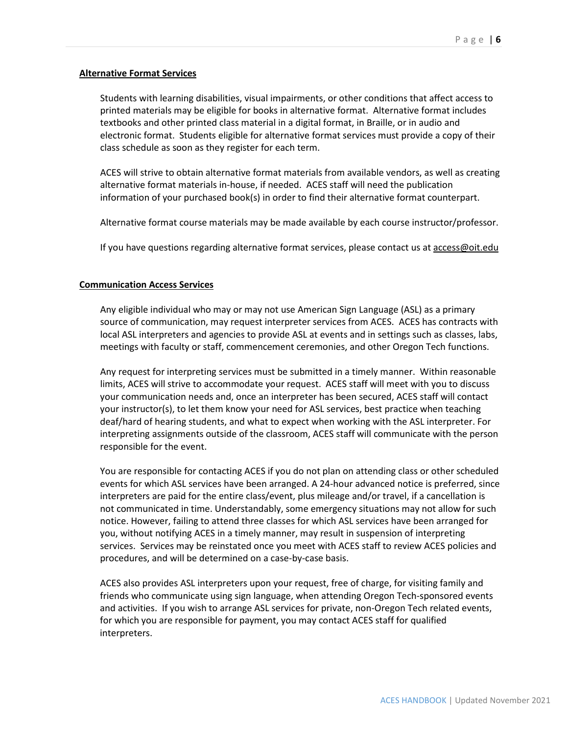## **Alternative Format Services**

Students with learning disabilities, visual impairments, or other conditions that affect access to printed materials may be eligible for books in alternative format. Alternative format includes textbooks and other printed class material in a digital format, in Braille, or in audio and electronic format. Students eligible for alternative format services must provide a copy of their class schedule as soon as they register for each term.

ACES will strive to obtain alternative format materials from available vendors, as well as creating alternative format materials in-house, if needed. ACES staff will need the publication information of your purchased book(s) in order to find their alternative format counterpart.

Alternative format course materials may be made available by each course instructor/professor.

If you have questions regarding alternative format services, please contact us at access@oit.edu

## **Communication Access Services**

Any eligible individual who may or may not use American Sign Language (ASL) as a primary source of communication, may request interpreter services from ACES. ACES has contracts with local ASL interpreters and agencies to provide ASL at events and in settings such as classes, labs, meetings with faculty or staff, commencement ceremonies, and other Oregon Tech functions.

Any request for interpreting services must be submitted in a timely manner. Within reasonable limits, ACES will strive to accommodate your request. ACES staff will meet with you to discuss your communication needs and, once an interpreter has been secured, ACES staff will contact your instructor(s), to let them know your need for ASL services, best practice when teaching deaf/hard of hearing students, and what to expect when working with the ASL interpreter. For interpreting assignments outside of the classroom, ACES staff will communicate with the person responsible for the event.

You are responsible for contacting ACES if you do not plan on attending class or other scheduled events for which ASL services have been arranged. A 24-hour advanced notice is preferred, since interpreters are paid for the entire class/event, plus mileage and/or travel, if a cancellation is not communicated in time. Understandably, some emergency situations may not allow for such notice. However, failing to attend three classes for which ASL services have been arranged for you, without notifying ACES in a timely manner, may result in suspension of interpreting services. Services may be reinstated once you meet with ACES staff to review ACES policies and procedures, and will be determined on a case-by-case basis.

ACES also provides ASL interpreters upon your request, free of charge, for visiting family and friends who communicate using sign language, when attending Oregon Tech-sponsored events and activities. If you wish to arrange ASL services for private, non-Oregon Tech related events, for which you are responsible for payment, you may contact ACES staff for qualified interpreters.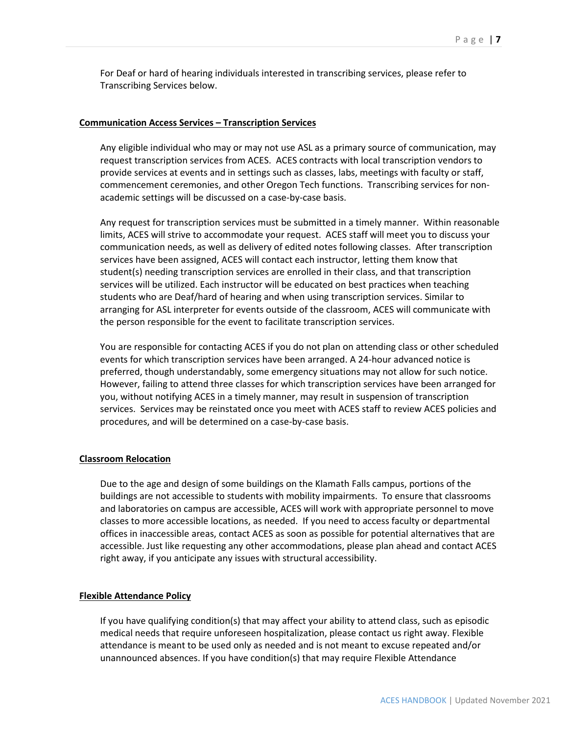For Deaf or hard of hearing individuals interested in transcribing services, please refer to Transcribing Services below.

### **Communication Access Services – Transcription Services**

Any eligible individual who may or may not use ASL as a primary source of communication, may request transcription services from ACES. ACES contracts with local transcription vendors to provide services at events and in settings such as classes, labs, meetings with faculty or staff, commencement ceremonies, and other Oregon Tech functions. Transcribing services for nonacademic settings will be discussed on a case-by-case basis.

Any request for transcription services must be submitted in a timely manner. Within reasonable limits, ACES will strive to accommodate your request. ACES staff will meet you to discuss your communication needs, as well as delivery of edited notes following classes. After transcription services have been assigned, ACES will contact each instructor, letting them know that student(s) needing transcription services are enrolled in their class, and that transcription services will be utilized. Each instructor will be educated on best practices when teaching students who are Deaf/hard of hearing and when using transcription services. Similar to arranging for ASL interpreter for events outside of the classroom, ACES will communicate with the person responsible for the event to facilitate transcription services.

You are responsible for contacting ACES if you do not plan on attending class or other scheduled events for which transcription services have been arranged. A 24-hour advanced notice is preferred, though understandably, some emergency situations may not allow for such notice. However, failing to attend three classes for which transcription services have been arranged for you, without notifying ACES in a timely manner, may result in suspension of transcription services. Services may be reinstated once you meet with ACES staff to review ACES policies and procedures, and will be determined on a case-by-case basis.

## **Classroom Relocation**

Due to the age and design of some buildings on the Klamath Falls campus, portions of the buildings are not accessible to students with mobility impairments. To ensure that classrooms and laboratories on campus are accessible, ACES will work with appropriate personnel to move classes to more accessible locations, as needed. If you need to access faculty or departmental offices in inaccessible areas, contact ACES as soon as possible for potential alternatives that are accessible. Just like requesting any other accommodations, please plan ahead and contact ACES right away, if you anticipate any issues with structural accessibility.

## **Flexible Attendance Policy**

If you have qualifying condition(s) that may affect your ability to attend class, such as episodic medical needs that require unforeseen hospitalization, please contact us right away. Flexible attendance is meant to be used only as needed and is not meant to excuse repeated and/or unannounced absences. If you have condition(s) that may require Flexible Attendance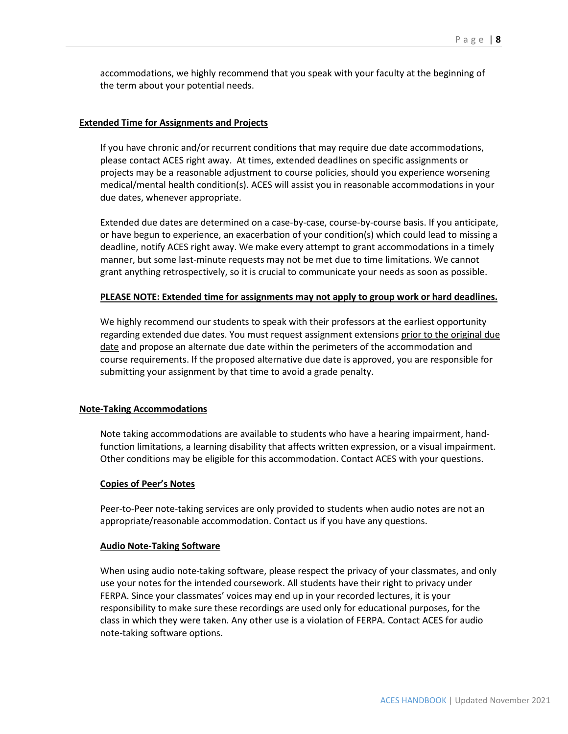accommodations, we highly recommend that you speak with your faculty at the beginning of the term about your potential needs.

### **Extended Time for Assignments and Projects**

If you have chronic and/or recurrent conditions that may require due date accommodations, please contact ACES right away. At times, extended deadlines on specific assignments or projects may be a reasonable adjustment to course policies, should you experience worsening medical/mental health condition(s). ACES will assist you in reasonable accommodations in your due dates, whenever appropriate.

Extended due dates are determined on a case-by-case, course-by-course basis. If you anticipate, or have begun to experience, an exacerbation of your condition(s) which could lead to missing a deadline, notify ACES right away. We make every attempt to grant accommodations in a timely manner, but some last-minute requests may not be met due to time limitations. We cannot grant anything retrospectively, so it is crucial to communicate your needs as soon as possible.

### **PLEASE NOTE: Extended time for assignments may not apply to group work or hard deadlines.**

We highly recommend our students to speak with their professors at the earliest opportunity regarding extended due dates. You must request assignment extensions prior to the original due date and propose an alternate due date within the perimeters of the accommodation and course requirements. If the proposed alternative due date is approved, you are responsible for submitting your assignment by that time to avoid a grade penalty.

### **Note-Taking Accommodations**

Note taking accommodations are available to students who have a hearing impairment, handfunction limitations, a learning disability that affects written expression, or a visual impairment. Other conditions may be eligible for this accommodation. Contact ACES with your questions.

### **Copies of Peer's Notes**

Peer-to-Peer note-taking services are only provided to students when audio notes are not an appropriate/reasonable accommodation. Contact us if you have any questions.

#### **Audio Note-Taking Software**

When using audio note-taking software, please respect the privacy of your classmates, and only use your notes for the intended coursework. All students have their right to privacy under FERPA. Since your classmates' voices may end up in your recorded lectures, it is your responsibility to make sure these recordings are used only for educational purposes, for the class in which they were taken. Any other use is a violation of FERPA. Contact ACES for audio note-taking software options.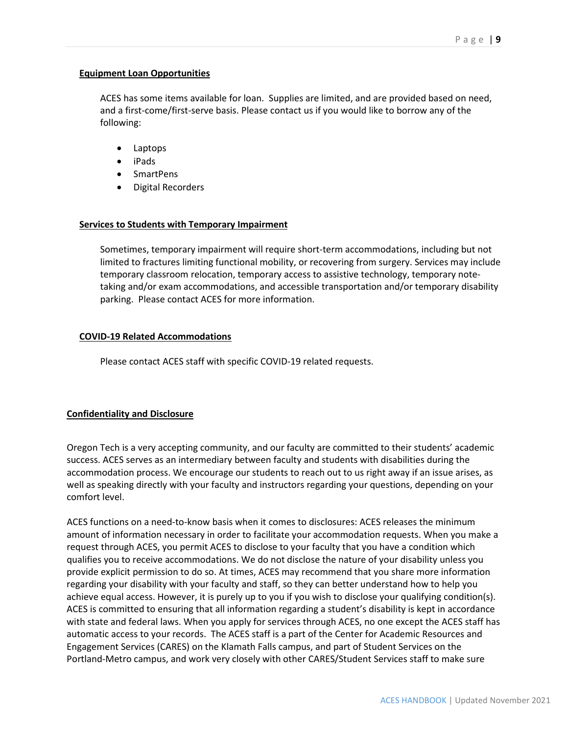## **Equipment Loan Opportunities**

ACES has some items available for loan. Supplies are limited, and are provided based on need, and a first-come/first-serve basis. Please contact us if you would like to borrow any of the following:

- Laptops
- iPads
- SmartPens
- Digital Recorders

## **Services to Students with Temporary Impairment**

Sometimes, temporary impairment will require short-term accommodations, including but not limited to fractures limiting functional mobility, or recovering from surgery. Services may include temporary classroom relocation, temporary access to assistive technology, temporary notetaking and/or exam accommodations, and accessible transportation and/or temporary disability parking. Please contact ACES for more information.

## **COVID-19 Related Accommodations**

Please contact ACES staff with specific COVID-19 related requests.

# **Confidentiality and Disclosure**

Oregon Tech is a very accepting community, and our faculty are committed to their students' academic success. ACES serves as an intermediary between faculty and students with disabilities during the accommodation process. We encourage our students to reach out to us right away if an issue arises, as well as speaking directly with your faculty and instructors regarding your questions, depending on your comfort level.

ACES functions on a need-to-know basis when it comes to disclosures: ACES releases the minimum amount of information necessary in order to facilitate your accommodation requests. When you make a request through ACES, you permit ACES to disclose to your faculty that you have a condition which qualifies you to receive accommodations. We do not disclose the nature of your disability unless you provide explicit permission to do so. At times, ACES may recommend that you share more information regarding your disability with your faculty and staff, so they can better understand how to help you achieve equal access. However, it is purely up to you if you wish to disclose your qualifying condition(s). ACES is committed to ensuring that all information regarding a student's disability is kept in accordance with state and federal laws. When you apply for services through ACES, no one except the ACES staff has automatic access to your records. The ACES staff is a part of the Center for Academic Resources and Engagement Services (CARES) on the Klamath Falls campus, and part of Student Services on the Portland-Metro campus, and work very closely with other CARES/Student Services staff to make sure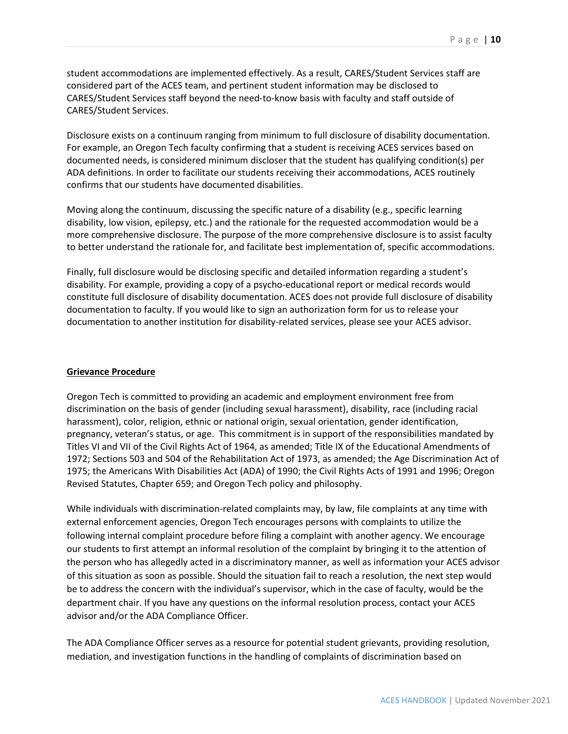student accommodations are implemented effectively. As a result, CARES/Student Services staff are considered part of the ACES team, and pertinent student information may be disclosed to CARES/Student Services staff beyond the need-to-know basis with faculty and staff outside of CARES/Student Services.

Disclosure exists on a continuum ranging from minimum to full disclosure of disability documentation. For example, an Oregon Tech faculty confirming that a student is receiving ACES services based on documented needs, is considered minimum discloser that the student has qualifying condition(s) per ADA definitions. In order to facilitate our students receiving their accommodations, ACES routinely confirms that our students have documented disabilities.

Moving along the continuum, discussing the specific nature of a disability (e.g., specific learning disability, low vision, epilepsy, etc.) and the rationale for the requested accommodation would be a more comprehensive disclosure. The purpose of the more comprehensive disclosure is to assist faculty to better understand the rationale for, and facilitate best implementation of, specific accommodations.

Finally, full disclosure would be disclosing specific and detailed information regarding a student's disability. For example, providing a copy of a psycho-educational report or medical records would constitute full disclosure of disability documentation. ACES does not provide full disclosure of disability documentation to faculty. If you would like to sign an authorization form for us to release your documentation to another institution for disability-related services, please see your ACES advisor.

## **Grievance Procedure**

Oregon Tech is committed to providing an academic and employment environment free from discrimination on the basis of gender (including sexual harassment), disability, race (including racial harassment), color, religion, ethnic or national origin, sexual orientation, gender identification, pregnancy, veteran's status, or age. This commitment is in support of the responsibilities mandated by Titles VI and VII of the Civil Rights Act of 1964, as amended; Title IX of the Educational Amendments of 1972; Sections 503 and 504 of the Rehabilitation Act of 1973, as amended; the Age Discrimination Act of 1975; the Americans With Disabilities Act (ADA) of 1990; the Civil Rights Acts of 1991 and 1996; Oregon Revised Statutes, Chapter 659; and Oregon Tech policy and philosophy.

While individuals with discrimination-related complaints may, by law, file complaints at any time with external enforcement agencies, Oregon Tech encourages persons with complaints to utilize the following internal complaint procedure before filing a complaint with another agency. We encourage our students to first attempt an informal resolution of the complaint by bringing it to the attention of the person who has allegedly acted in a discriminatory manner, as well as information your ACES advisor of this situation as soon as possible. Should the situation fail to reach a resolution, the next step would be to address the concern with the individual's supervisor, which in the case of faculty, would be the department chair. If you have any questions on the informal resolution process, contact your ACES advisor and/or the ADA Compliance Officer.

The ADA Compliance Officer serves as a resource for potential student grievants, providing resolution, mediation, and investigation functions in the handling of complaints of discrimination based on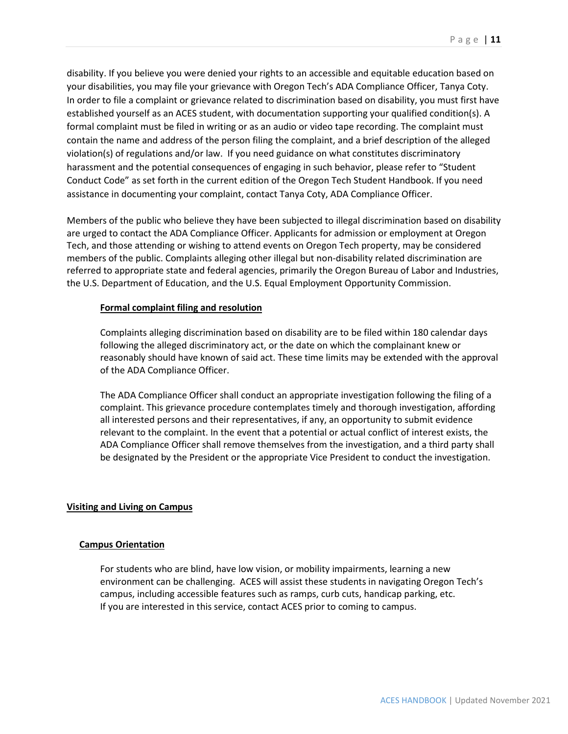disability. If you believe you were denied your rights to an accessible and equitable education based on your disabilities, you may file your grievance with Oregon Tech's ADA Compliance Officer, Tanya Coty. In order to file a complaint or grievance related to discrimination based on disability, you must first have established yourself as an ACES student, with documentation supporting your qualified condition(s). A formal complaint must be filed in writing or as an audio or video tape recording. The complaint must contain the name and address of the person filing the complaint, and a brief description of the alleged violation(s) of regulations and/or law. If you need guidance on what constitutes discriminatory harassment and the potential consequences of engaging in such behavior, please refer to "Student Conduct Code" as set forth in the current edition of the Oregon Tech Student Handbook. If you need assistance in documenting your complaint, contact Tanya Coty, ADA Compliance Officer.

Members of the public who believe they have been subjected to illegal discrimination based on disability are urged to contact the ADA Compliance Officer. Applicants for admission or employment at Oregon Tech, and those attending or wishing to attend events on Oregon Tech property, may be considered members of the public. Complaints alleging other illegal but non-disability related discrimination are referred to appropriate state and federal agencies, primarily the Oregon Bureau of Labor and Industries, the U.S. Department of Education, and the U.S. Equal Employment Opportunity Commission.

### **Formal complaint filing and resolution**

Complaints alleging discrimination based on disability are to be filed within 180 calendar days following the alleged discriminatory act, or the date on which the complainant knew or reasonably should have known of said act. These time limits may be extended with the approval of the ADA Compliance Officer.

The ADA Compliance Officer shall conduct an appropriate investigation following the filing of a complaint. This grievance procedure contemplates timely and thorough investigation, affording all interested persons and their representatives, if any, an opportunity to submit evidence relevant to the complaint. In the event that a potential or actual conflict of interest exists, the ADA Compliance Officer shall remove themselves from the investigation, and a third party shall be designated by the President or the appropriate Vice President to conduct the investigation.

### **Visiting and Living on Campus**

### **Campus Orientation**

For students who are blind, have low vision, or mobility impairments, learning a new environment can be challenging. ACES will assist these students in navigating Oregon Tech's campus, including accessible features such as ramps, curb cuts, handicap parking, etc. If you are interested in this service, contact ACES prior to coming to campus.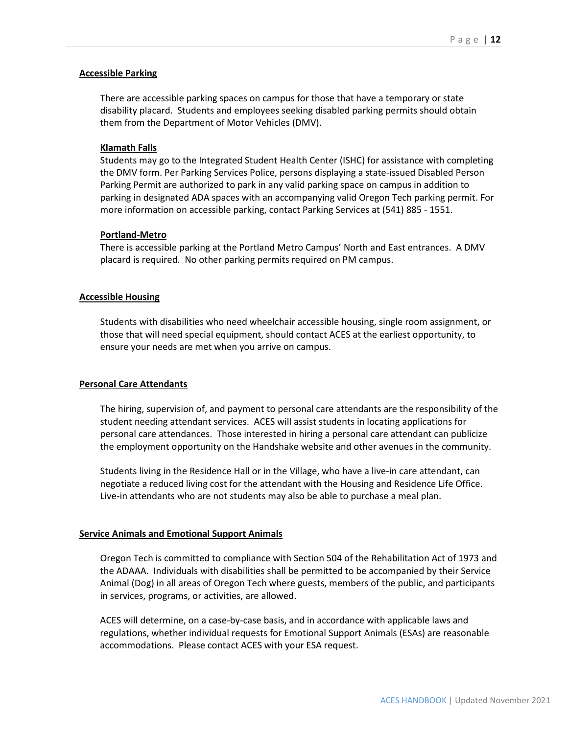### **Accessible Parking**

There are accessible parking spaces on campus for those that have a temporary or state disability placard. Students and employees seeking disabled parking permits should obtain them from the [Department of Motor Vehicles \(DMV\).](http://www.oregon.gov/ODOT/DMV/pages/driverid/disparking.aspx)

### **Klamath Falls**

Students may go to the Integrated Student Health Center (ISHC) for assistance with completing the DMV form. Per Parking Services Police, persons displaying a state-issued Disabled Person Parking Permit are authorized to park in any valid parking space on campus in addition to parking in designated ADA spaces with an accompanying valid Oregon Tech parking permit. For more information on accessible parking, contact Parking Services at (541) 885 - 1551.

### **Portland-Metro**

There is accessible parking at the Portland Metro Campus' North and East entrances. A DMV placard is required. No other parking permits required on PM campus.

#### **Accessible Housing**

Students with disabilities who need wheelchair accessible housing, single room assignment, or those that will need special equipment, should contact ACES at the earliest opportunity, to ensure your needs are met when you arrive on campus.

### **Personal Care Attendants**

The hiring, supervision of, and payment to personal care attendants are the responsibility of the student needing attendant services. ACES will assist students in locating applications for personal care attendances. Those interested in hiring a personal care attendant can publicize the employment opportunity on the Handshake website and other avenues in the community.

Students living in the Residence Hall or in the Village, who have a live-in care attendant, can negotiate a reduced living cost for the attendant with the Housing and Residence Life Office. Live-in attendants who are not students may also be able to purchase a meal plan.

### **Service Animals and Emotional Support Animals**

Oregon Tech is committed to compliance with Section 504 of the Rehabilitation Act of 1973 and the ADAAA. Individuals with disabilities shall be permitted to be accompanied by their Service Animal (Dog) in all areas of Oregon Tech where guests, members of the public, and participants in services, programs, or activities, are allowed.

ACES will determine, on a case-by-case basis, and in accordance with applicable laws and regulations, whether individual requests for Emotional Support Animals (ESAs) are reasonable accommodations. Please contact ACES with your ESA request.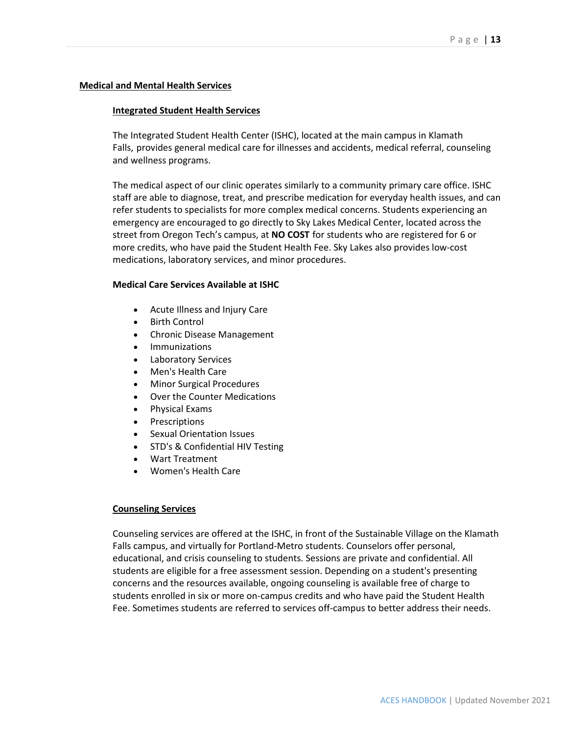### **Medical and Mental Health Services**

### **Integrated Student Health Services**

The Integrated Student Health Center (ISHC), located at the main campus in Klamath Falls, provides general medical care for illnesses and accidents, medical referral, counseling and wellness programs.

The medical aspect of our clinic operates similarly to a community primary care office. ISHC staff are able to diagnose, treat, and prescribe medication for everyday health issues, and can refer students to specialists for more complex medical concerns. Students experiencing an emergency are encouraged to go directly to Sky Lakes Medical Center, located across the street from Oregon Tech's campus, at **NO COST** for students who are registered for 6 or more credits, who have paid the Student Health Fee. Sky Lakes also provides low-cost medications, laboratory services, and minor procedures.

### **Medical Care Services Available at ISHC**

- Acute Illness and Injury Care
- **Birth Control**
- Chronic Disease Management
- **Immunizations**
- Laboratory Services
- Men's Health Care
- Minor Surgical Procedures
- Over the Counter Medications
- Physical Exams
- Prescriptions
- Sexual Orientation Issues
- STD's & Confidential HIV Testing
- Wart Treatment
- Women's Health Care

## **Counseling Services**

Counseling services are offered at the ISHC, in front of the Sustainable Village on the Klamath Falls campus, and virtually for Portland-Metro students. Counselors offer personal, educational, and crisis counseling to students. Sessions are private and confidential. All students are eligible for a free assessment session. Depending on a student's presenting concerns and the resources available, ongoing counseling is available free of charge to students enrolled in six or more on-campus credits and who have paid the Student Health Fee. Sometimes students are referred to services off-campus to better address their needs.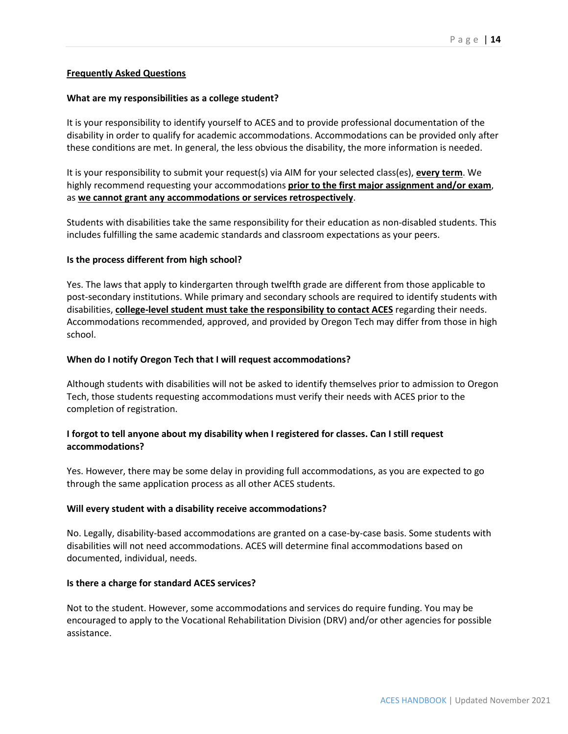## **Frequently Asked Questions**

### **What are my responsibilities as a college student?**

It is your responsibility to identify yourself to ACES and to provide professional documentation of the disability in order to qualify for academic accommodations. Accommodations can be provided only after these conditions are met. In general, the less obvious the disability, the more information is needed.

It is your responsibility to submit your request(s) via AIM for your selected class(es), **every term**. We highly recommend requesting your accommodations **prior to the first major assignment and/or exam**, as **we cannot grant any accommodations or services retrospectively**.

Students with disabilities take the same responsibility for their education as non-disabled students. This includes fulfilling the same academic standards and classroom expectations as your peers.

### **Is the process different from high school?**

Yes. The laws that apply to kindergarten through twelfth grade are different from those applicable to post-secondary institutions. While primary and secondary schools are required to identify students with disabilities, **college-level student must take the responsibility to contact ACES** regarding their needs. Accommodations recommended, approved, and provided by Oregon Tech may differ from those in high school.

#### **When do I notify Oregon Tech that I will request accommodations?**

Although students with disabilities will not be asked to identify themselves prior to admission to Oregon Tech, those students requesting accommodations must verify their needs with ACES prior to the completion of registration.

# **I forgot to tell anyone about my disability when I registered for classes. Can I still request accommodations?**

Yes. However, there may be some delay in providing full accommodations, as you are expected to go through the same application process as all other ACES students.

#### **Will every student with a disability receive accommodations?**

No. Legally, disability-based accommodations are granted on a case-by-case basis. Some students with disabilities will not need accommodations. ACES will determine final accommodations based on documented, individual, needs.

#### **Is there a charge for standard ACES services?**

Not to the student. However, some accommodations and services do require funding. You may be encouraged to apply to the Vocational Rehabilitation Division (DRV) and/or other agencies for possible assistance.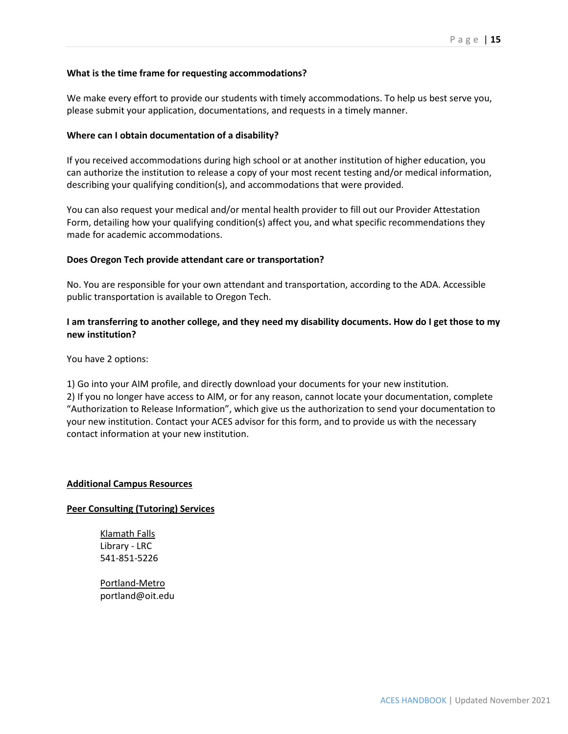# **What is the time frame for requesting accommodations?**

We make every effort to provide our students with timely accommodations. To help us best serve you, please submit your application, documentations, and requests in a timely manner.

## **Where can I obtain documentation of a disability?**

If you received accommodations during high school or at another institution of higher education, you can authorize the institution to release a copy of your most recent testing and/or medical information, describing your qualifying condition(s), and accommodations that were provided.

You can also request your medical and/or mental health provider to fill out our Provider Attestation Form, detailing how your qualifying condition(s) affect you, and what specific recommendations they made for academic accommodations.

## **Does Oregon Tech provide attendant care or transportation?**

No. You are responsible for your own attendant and transportation, according to the ADA. Accessible public transportation is available to Oregon Tech.

# **I am transferring to another college, and they need my disability documents. How do I get those to my new institution?**

You have 2 options:

1) Go into your AIM profile, and directly download your documents for your new institution.

2) If you no longer have access to AIM, or for any reason, cannot locate your documentation, complete "Authorization to Release Information", which give us the authorization to send your documentation to your new institution. Contact your ACES advisor for this form, and to provide us with the necessary contact information at your new institution.

## **Additional Campus Resources**

# **Peer Consulting (Tutoring) Services**

Klamath Falls Library - LRC 541-851-5226

Portland-Metro portland@oit.edu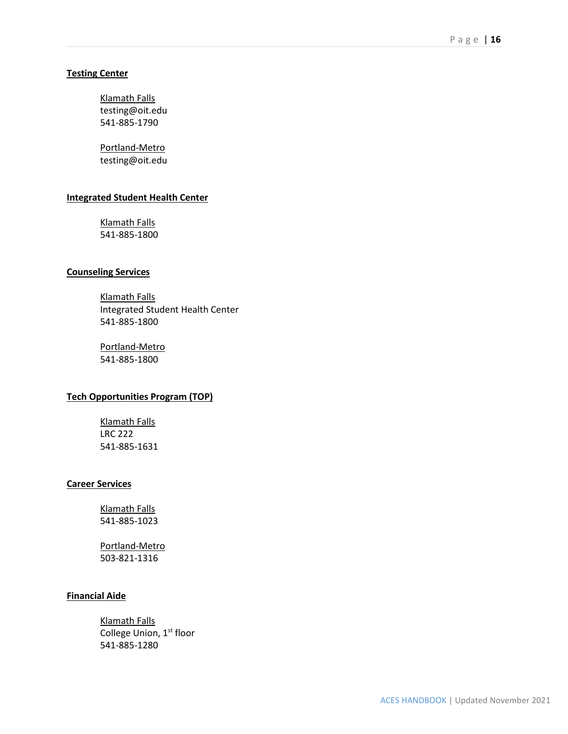## **Testing Center**

Klamath Falls testing@oit.edu 541-885-1790

Portland-Metro testing@oit.edu

## **Integrated Student Health Center**

Klamath Falls 541-885-1800

### **Counseling Services**

Klamath Falls Integrated Student Health Center 541-885-1800

Portland-Metro 541-885-1800

### **Tech Opportunities Program (TOP)**

Klamath Falls LRC 222 541-885-1631

# **Career Services**

Klamath Falls 541-885-1023

Portland-Metro 503-821-1316

## **Financial Aide**

Klamath Falls College Union, 1st floor 541-885-1280